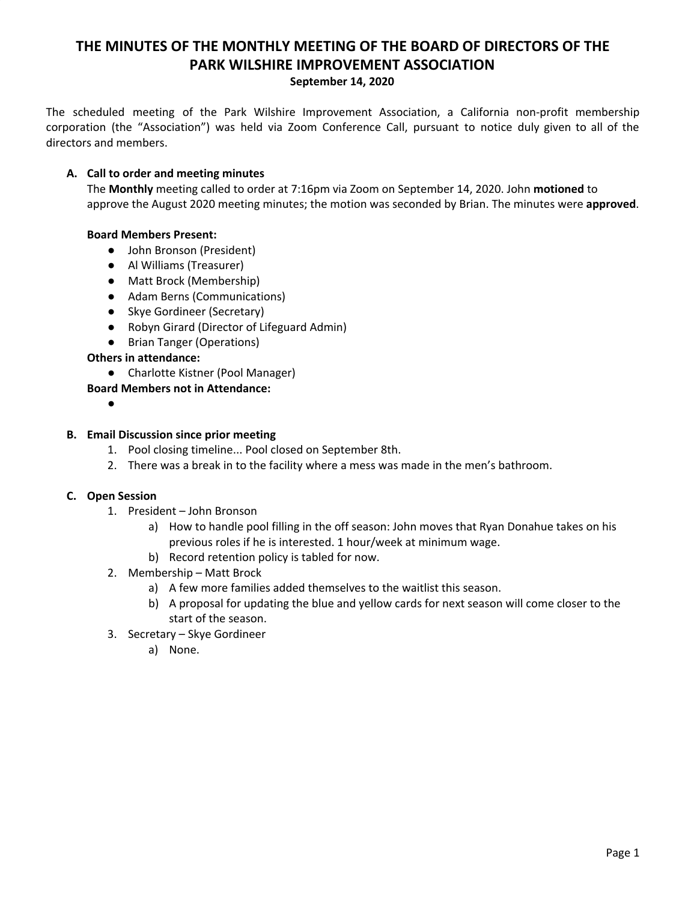# **THE MINUTES OF THE MONTHLY MEETING OF THE BOARD OF DIRECTORS OF THE PARK WILSHIRE IMPROVEMENT ASSOCIATION September 14, 2020**

The scheduled meeting of the Park Wilshire Improvement Association, a California non-profit membership corporation (the "Association") was held via Zoom Conference Call, pursuant to notice duly given to all of the directors and members.

## **A. Call to order and meeting minutes**

The **Monthly** meeting called to order at 7:16pm via Zoom on September 14, 2020. John **motioned** to approve the August 2020 meeting minutes; the motion was seconded by Brian. The minutes were **approved**.

## **Board Members Present:**

- John Bronson (President)
- **●** Al Williams (Treasurer)
- Matt Brock (Membership)
- Adam Berns (Communications)
- Skye Gordineer (Secretary)
- Robyn Girard (Director of Lifeguard Admin)
- Brian Tanger (Operations)

## **Others in attendance:**

● Charlotte Kistner (Pool Manager)

# **Board Members not in Attendance:**

●

#### **B. Email Discussion since prior meeting**

- 1. Pool closing timeline... Pool closed on September 8th.
- 2. There was a break in to the facility where a mess was made in the men's bathroom.

## **C. Open Session**

- 1. President John Bronson
	- a) How to handle pool filling in the off season: John moves that Ryan Donahue takes on his previous roles if he is interested. 1 hour/week at minimum wage.
	- b) Record retention policy is tabled for now.
- 2. Membership Matt Brock
	- a) A few more families added themselves to the waitlist this season.
	- b) A proposal for updating the blue and yellow cards for next season will come closer to the start of the season.
- 3. Secretary Skye Gordineer
	- a) None.